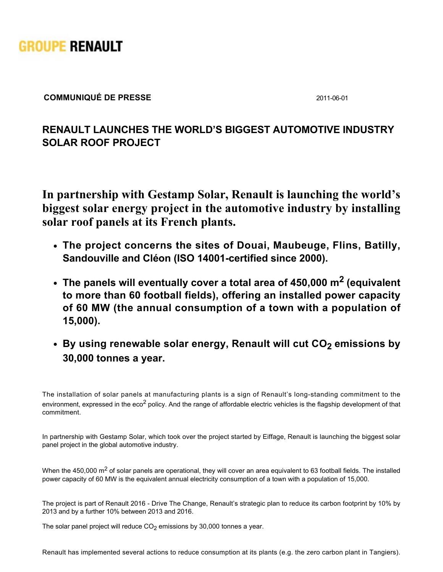

**COMMUNIQUÉ DE PRESSE** 2011-06-01

## **RENAULT LAUNCHES THE WORLD'S BIGGEST AUTOMOTIVE INDUSTRY SOLAR ROOF PROJECT**

**In partnership with Gestamp Solar, Renault is launching the world's biggest solar energy project in the automotive industry by installing solar roof panels at its French plants.**

- **The project concerns the sites of Douai, Maubeuge, Flins, Batilly,** Sandouville and Cléon (ISO 14001-certified since 2000).
- **The panels will eventually cover a total area of 450,000 m2 (equivalent to more than 60 football fields), offering an installed power capacity of 60 MW (the annual consumption of a town with a population of 15,000).**
- **By using renewable solar energy, Renault will cut CO<sup>2</sup> emissions by 30,000 tonnes a year.**

The installation of solar panels at manufacturing plants is a sign of Renault's long-standing commitment to the environment, expressed in the eco<sup>2</sup> policy. And the range of affordable electric vehicles is the flagship development of that commitment.

In partnership with Gestamp Solar, which took over the project started by Eiffage, Renault is launching the biggest solar panel project in the global automotive industry.

When the 450,000 m<sup>2</sup> of solar panels are operational, they will cover an area equivalent to 63 football fields. The installed power capacity of 60 MW is the equivalent annual electricity consumption of a town with a population of 15,000.

The project is part of Renault 2016 - Drive The Change, Renault's strategic plan to reduce its carbon footprint by 10% by 2013 and by a further 10% between 2013 and 2016.

The solar panel project will reduce  $CO<sub>2</sub>$  emissions by 30,000 tonnes a year.

Renault has implemented several actions to reduce consumption at its plants (e.g. the zero carbon plant in Tangiers).